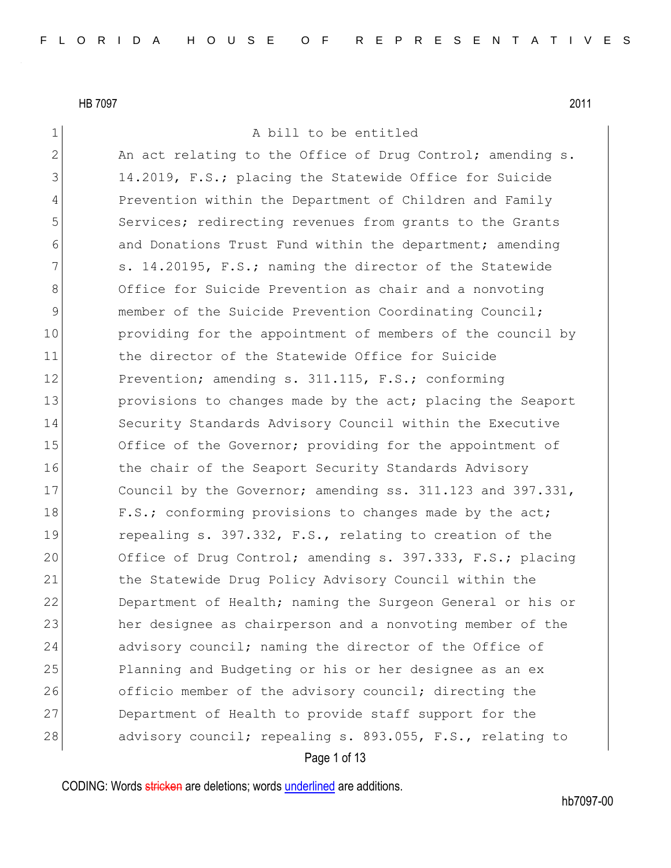1 A bill to be entitled

2 An act relating to the Office of Drug Control; amending s. 3 14.2019, F.S.; placing the Statewide Office for Suicide 4 Prevention within the Department of Children and Family 5 Services; redirecting revenues from grants to the Grants 6 6 and Donations Trust Fund within the department; amending  $7$  s. 14.20195, F.S.; naming the director of the Statewide 8 Office for Suicide Prevention as chair and a nonvoting 9 member of the Suicide Prevention Coordinating Council; 10 providing for the appointment of members of the council by 11 11 the director of the Statewide Office for Suicide 12 Prevention; amending s. 311.115, F.S.; conforming 13 provisions to changes made by the act; placing the Seaport 14 Security Standards Advisory Council within the Executive 15 Office of the Governor; providing for the appointment of 16 the chair of the Seaport Security Standards Advisory 17 Council by the Governor; amending ss. 311.123 and 397.331, 18 F.S.; conforming provisions to changes made by the act; 19 repealing s. 397.332, F.S., relating to creation of the 20 Office of Drug Control; amending s. 397.333, F.S.; placing 21 the Statewide Drug Policy Advisory Council within the 22 Department of Health; naming the Surgeon General or his or 23 her designee as chairperson and a nonvoting member of the 24 advisory council; naming the director of the Office of 25 Planning and Budgeting or his or her designee as an ex 26 officio member of the advisory council; directing the 27 Department of Health to provide staff support for the 28 advisory council; repealing s. 893.055, F.S., relating to

Page 1 of 13

CODING: Words stricken are deletions; words underlined are additions.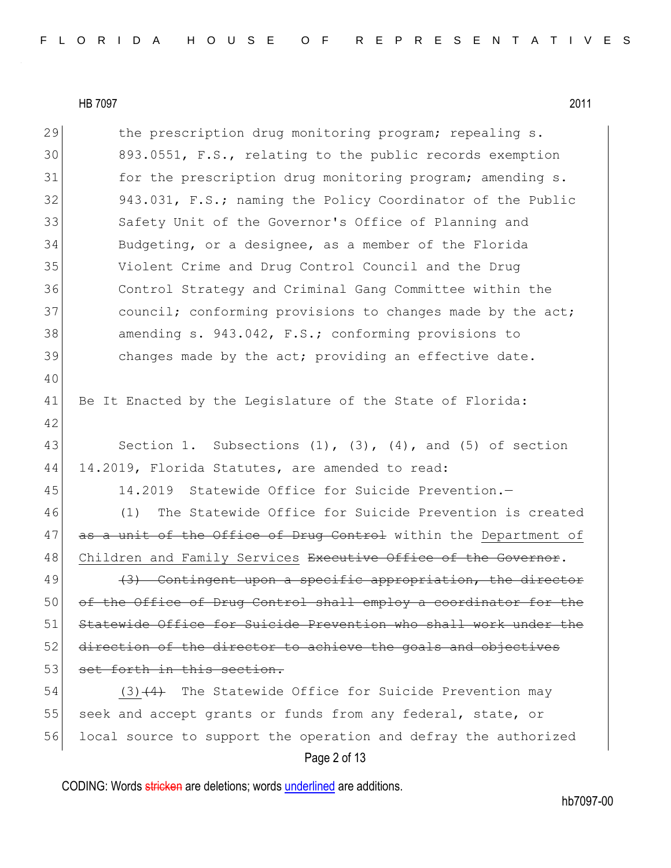| 29 | the prescription drug monitoring program; repealing s.              |
|----|---------------------------------------------------------------------|
| 30 | 893.0551, F.S., relating to the public records exemption            |
| 31 | for the prescription drug monitoring program; amending s.           |
| 32 | 943.031, F.S.; naming the Policy Coordinator of the Public          |
| 33 | Safety Unit of the Governor's Office of Planning and                |
| 34 | Budgeting, or a designee, as a member of the Florida                |
| 35 | Violent Crime and Drug Control Council and the Drug                 |
| 36 | Control Strategy and Criminal Gang Committee within the             |
| 37 | council; conforming provisions to changes made by the act;          |
| 38 | amending s. 943.042, F.S.; conforming provisions to                 |
| 39 | changes made by the act; providing an effective date.               |
| 40 |                                                                     |
| 41 | Be It Enacted by the Legislature of the State of Florida:           |
| 42 |                                                                     |
| 43 | Section 1. Subsections $(1)$ , $(3)$ , $(4)$ , and $(5)$ of section |
| 44 | 14.2019, Florida Statutes, are amended to read:                     |
| 45 | 14.2019 Statewide Office for Suicide Prevention.-                   |
| 46 | The Statewide Office for Suicide Prevention is created<br>(1)       |
| 47 | as a unit of the Office of Drug Control within the Department of    |
| 48 | Children and Family Services Executive Office of the Governor.      |
| 49 | (3) Contingent upon a specific appropriation, the director          |
| 50 | of the Office of Drug Control shall employ a coordinator for the    |
| 51 | Statewide Office for Suicide Prevention who shall work under the    |
| 52 | direction of the director to achieve the goals and objectives       |
| 53 | set forth in this section.                                          |
| 54 | $(3)$ $(4)$ The Statewide Office for Suicide Prevention may         |
| 55 | seek and accept grants or funds from any federal, state, or         |
| 56 | local source to support the operation and defray the authorized     |
|    | Page 2 of 13                                                        |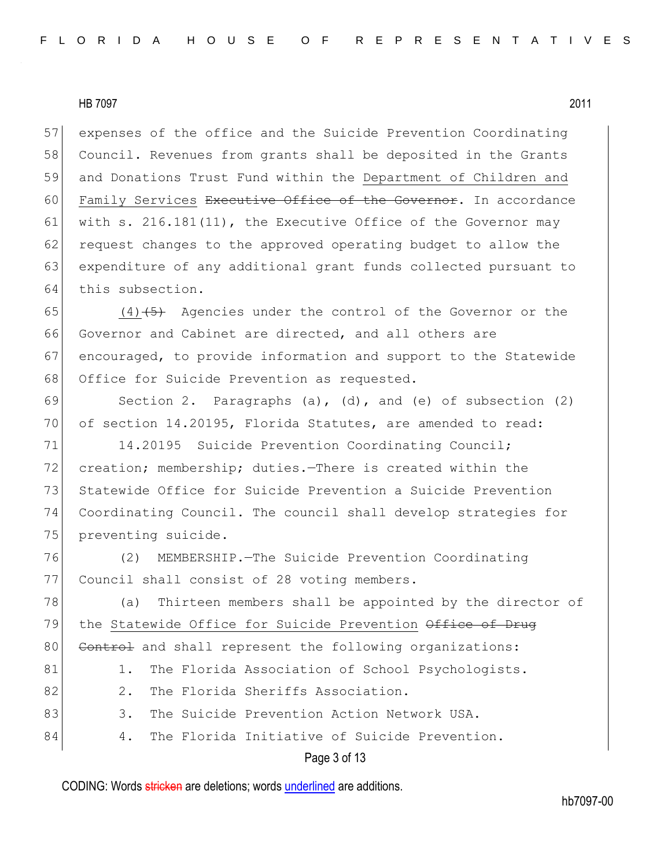expenses of the office and the Suicide Prevention Coordinating Council. Revenues from grants shall be deposited in the Grants and Donations Trust Fund within the Department of Children and 60 Family Services Executive Office of the Governor. In accordance 61 with s. 216.181(11), the Executive Office of the Governor may 62 request changes to the approved operating budget to allow the expenditure of any additional grant funds collected pursuant to this subsection.

 $(4)$   $\overline{5}$  Agencies under the control of the Governor or the Governor and Cabinet are directed, and all others are encouraged, to provide information and support to the Statewide 68 Office for Suicide Prevention as requested.

69 Section 2. Paragraphs (a), (d), and (e) of subsection (2) 70 of section 14.20195, Florida Statutes, are amended to read:

71 14.20195 Suicide Prevention Coordinating Council; 72 creation; membership; duties.—There is created within the 73 Statewide Office for Suicide Prevention a Suicide Prevention 74 Coordinating Council. The council shall develop strategies for 75 preventing suicide.

76 (2) MEMBERSHIP.—The Suicide Prevention Coordinating 77 Council shall consist of 28 voting members.

Page 3 of 13 78 (a) Thirteen members shall be appointed by the director of 79 the Statewide Office for Suicide Prevention Office of Drug 80 Control and shall represent the following organizations: 81 1. The Florida Association of School Psychologists. 82 2. The Florida Sheriffs Association. 83 3. The Suicide Prevention Action Network USA. 84 4. The Florida Initiative of Suicide Prevention.

CODING: Words stricken are deletions; words underlined are additions.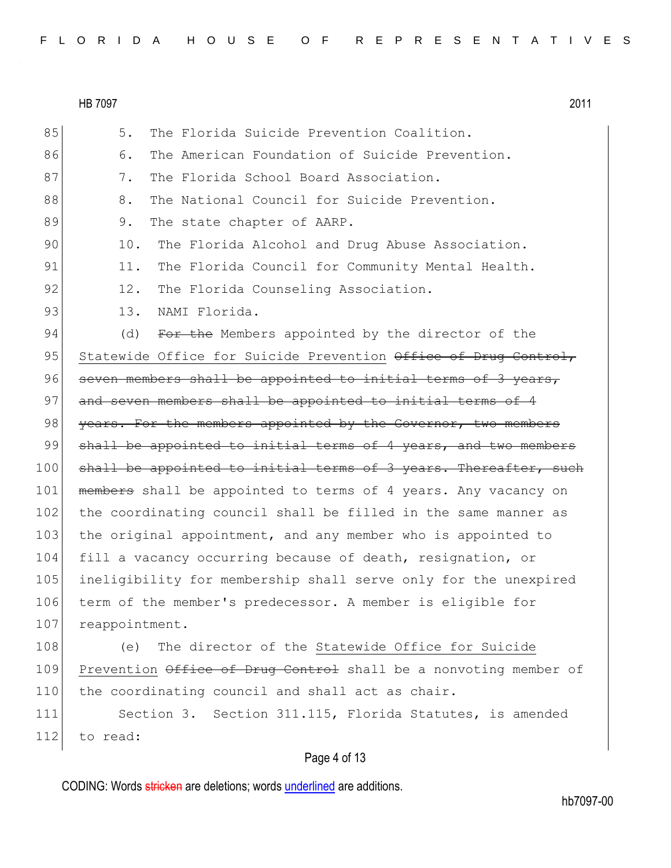| FLORIDA HOUSE OF REPRESENTATIVES |  |
|----------------------------------|--|
|----------------------------------|--|

Page 4 of 13 85 5. The Florida Suicide Prevention Coalition. 86 6. The American Foundation of Suicide Prevention. 87 37. The Florida School Board Association. 88 8. The National Council for Suicide Prevention. 89 9. The state chapter of AARP. 90 10. The Florida Alcohol and Drug Abuse Association. 91 11. The Florida Council for Community Mental Health. 92 12. The Florida Counseling Association. 93 13. NAMI Florida. 94 (d) For the Members appointed by the director of the 95 Statewide Office for Suicide Prevention Office of Drug Control, 96 seven members shall be appointed to initial terms of 3 years, 97 and seven members shall be appointed to initial terms of 4 98 years. For the members appointed by the Governor, two members 99 shall be appointed to initial terms of 4 years, and two members 100 shall be appointed to initial terms of 3 years. Thereafter, such 101 members shall be appointed to terms of 4 years. Any vacancy on 102 the coordinating council shall be filled in the same manner as 103 the original appointment, and any member who is appointed to 104 fill a vacancy occurring because of death, resignation, or 105 ineligibility for membership shall serve only for the unexpired 106 term of the member's predecessor. A member is eligible for 107 reappointment. 108 (e) The director of the Statewide Office for Suicide 109 Prevention Office of Drug Control shall be a nonvoting member of 110 the coordinating council and shall act as chair. 111 Section 3. Section 311.115, Florida Statutes, is amended 112 to read: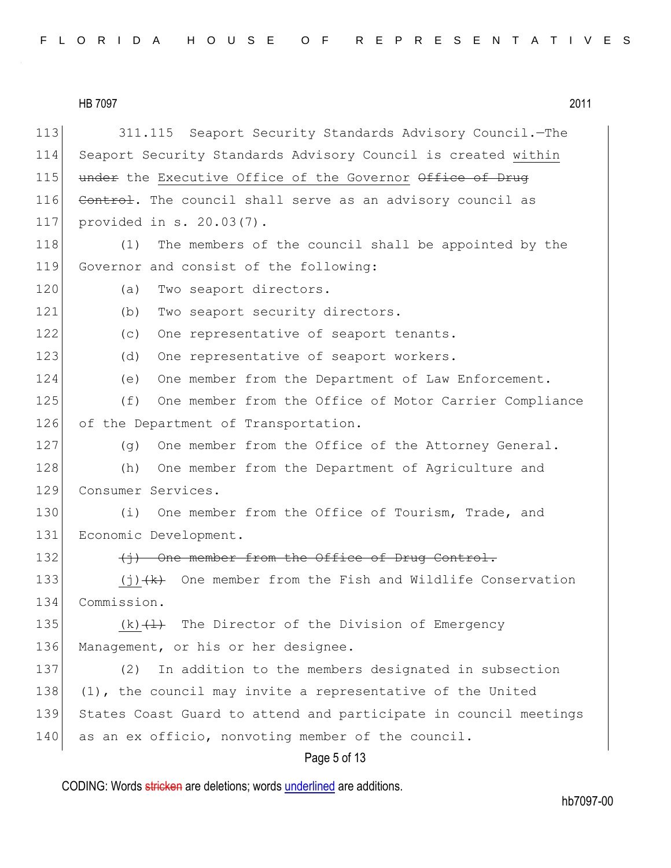|--|

Page 5 of 13 113 311.115 Seaport Security Standards Advisory Council.—The 114 Seaport Security Standards Advisory Council is created within 115 under the Executive Office of the Governor Office of Drug 116 Control. The council shall serve as an advisory council as 117 provided in s. 20.03(7). 118 (1) The members of the council shall be appointed by the 119 Governor and consist of the following: 120 (a) Two seaport directors. 121 (b) Two seaport security directors. 122 (c) One representative of seaport tenants. 123 (d) One representative of seaport workers. 124 (e) One member from the Department of Law Enforcement. 125 (f) One member from the Office of Motor Carrier Compliance 126 of the Department of Transportation. 127 (g) One member from the Office of the Attorney General. 128 (h) One member from the Department of Agriculture and 129 Consumer Services. 130 (i) One member from the Office of Tourism, Trade, and 131 Economic Development. 132 (i) One member from the Office of Drug Control. 133  $(j)$  (j)  $(k)$  One member from the Fish and Wildlife Conservation 134 Commission. 135  $(k)$   $(1)$  The Director of the Division of Emergency 136 Management, or his or her designee. 137 (2) In addition to the members designated in subsection 138  $(1)$ , the council may invite a representative of the United 139 States Coast Guard to attend and participate in council meetings 140 as an ex officio, nonvoting member of the council.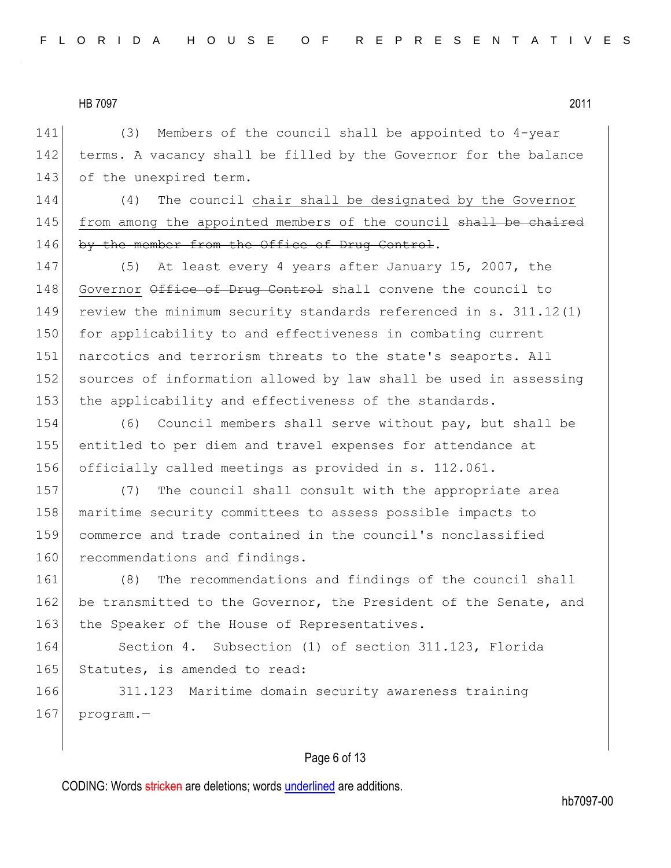141 (3) Members of the council shall be appointed to 4-year 142 terms. A vacancy shall be filled by the Governor for the balance 143 of the unexpired term.

144 (4) The council chair shall be designated by the Governor 145 from among the appointed members of the council shall be chaired 146 by the member from the Office of Drug Control.

147 (5) At least every 4 years after January 15, 2007, the 148 Governor Office of Drug Control shall convene the council to 149 review the minimum security standards referenced in s. 311.12(1) 150 for applicability to and effectiveness in combating current 151 narcotics and terrorism threats to the state's seaports. All 152 sources of information allowed by law shall be used in assessing 153 the applicability and effectiveness of the standards.

154 (6) Council members shall serve without pay, but shall be 155 entitled to per diem and travel expenses for attendance at 156 officially called meetings as provided in s. 112.061.

157 (7) The council shall consult with the appropriate area 158 maritime security committees to assess possible impacts to 159 commerce and trade contained in the council's nonclassified 160 recommendations and findings.

161 (8) The recommendations and findings of the council shall 162 be transmitted to the Governor, the President of the Senate, and 163 the Speaker of the House of Representatives.

164 Section 4. Subsection (1) of section 311.123, Florida 165 Statutes, is amended to read:

166 311.123 Maritime domain security awareness training  $167$  program.

## Page 6 of 13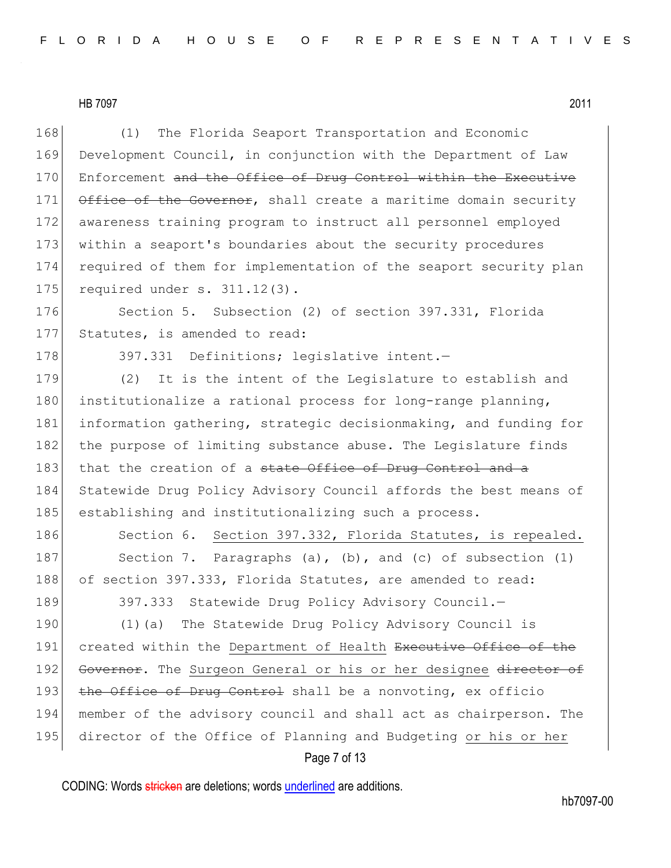168 (1) The Florida Seaport Transportation and Economic 169 Development Council, in conjunction with the Department of Law 170 Enforcement and the Office of Drug Control within the Executive 171 Office of the Governor, shall create a maritime domain security 172 awareness training program to instruct all personnel employed 173 within a seaport's boundaries about the security procedures 174 required of them for implementation of the seaport security plan 175 required under s. 311.12(3).

176 Section 5. Subsection (2) of section 397.331, Florida 177 Statutes, is amended to read:

178 397.331 Definitions; legislative intent.

179 (2) It is the intent of the Legislature to establish and 180 institutionalize a rational process for long-range planning, 181 information gathering, strategic decisionmaking, and funding for 182 the purpose of limiting substance abuse. The Legislature finds 183 that the creation of a state Office of Drug Control and a 184 Statewide Drug Policy Advisory Council affords the best means of 185 establishing and institutionalizing such a process.

186 Section 6. Section 397.332, Florida Statutes, is repealed. 187 Section 7. Paragraphs (a), (b), and (c) of subsection (1) 188 of section 397.333, Florida Statutes, are amended to read:

189 397.333 Statewide Drug Policy Advisory Council.

190 (1)(a) The Statewide Drug Policy Advisory Council is 191 created within the Department of Health Executive Office of the 192 Governor. The Surgeon General or his or her designee director of 193 the Office of Drug Control shall be a nonvoting, ex officio 194 member of the advisory council and shall act as chairperson. The 195 director of the Office of Planning and Budgeting or his or her

# Page 7 of 13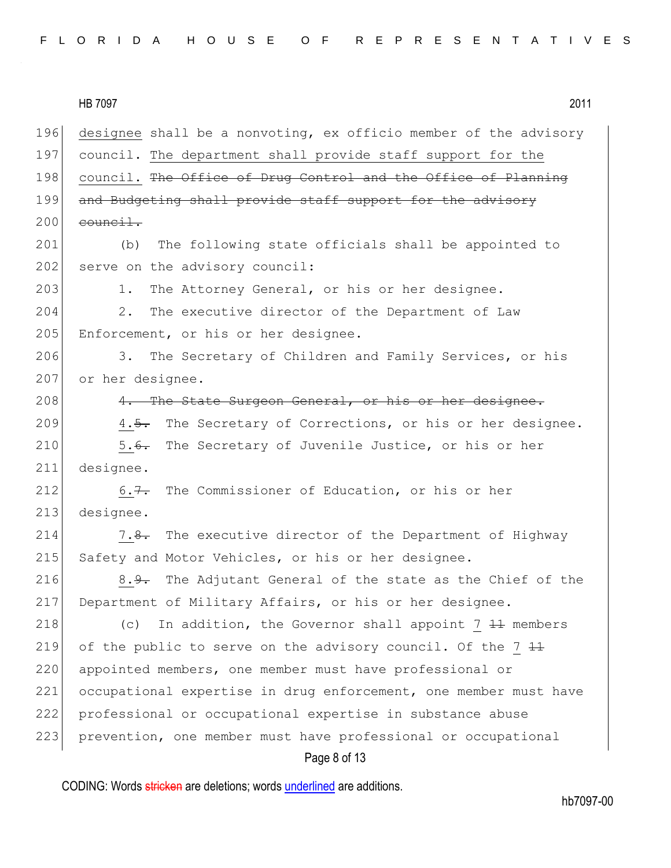|--|

HB 7097 2011 196 designee shall be a nonvoting, ex officio member of the advisory 197 council. The department shall provide staff support for the 198 council. The Office of Drug Control and the Office of Planning 199 and Budgeting shall provide staff support for the advisory  $200$  council. 201 (b) The following state officials shall be appointed to  $202$  serve on the advisory council: 203 1. The Attorney General, or his or her designee. 204 2. The executive director of the Department of Law 205 Enforcement, or his or her designee. 206 3. The Secretary of Children and Family Services, or his 207 or her designee. 208 4. The State Surgeon General, or his or her designee. 209 4.5. The Secretary of Corrections, or his or her designee. 210 5.6. The Secretary of Juvenile Justice, or his or her 211 designee. 212 6.7. The Commissioner of Education, or his or her 213 designee. 214 7.8. The executive director of the Department of Highway 215 Safety and Motor Vehicles, or his or her designee. 216 8.<del>9.</del> The Adjutant General of the state as the Chief of the 217 Department of Military Affairs, or his or her designee. 218  $\vert$  (c) In addition, the Governor shall appoint 7  $\frac{11}{11}$  members 219 of the public to serve on the advisory council. Of the  $7+1$ 220 appointed members, one member must have professional or 221 occupational expertise in drug enforcement, one member must have 222 professional or occupational expertise in substance abuse 223 prevention, one member must have professional or occupational

Page 8 of 13

CODING: Words stricken are deletions; words underlined are additions.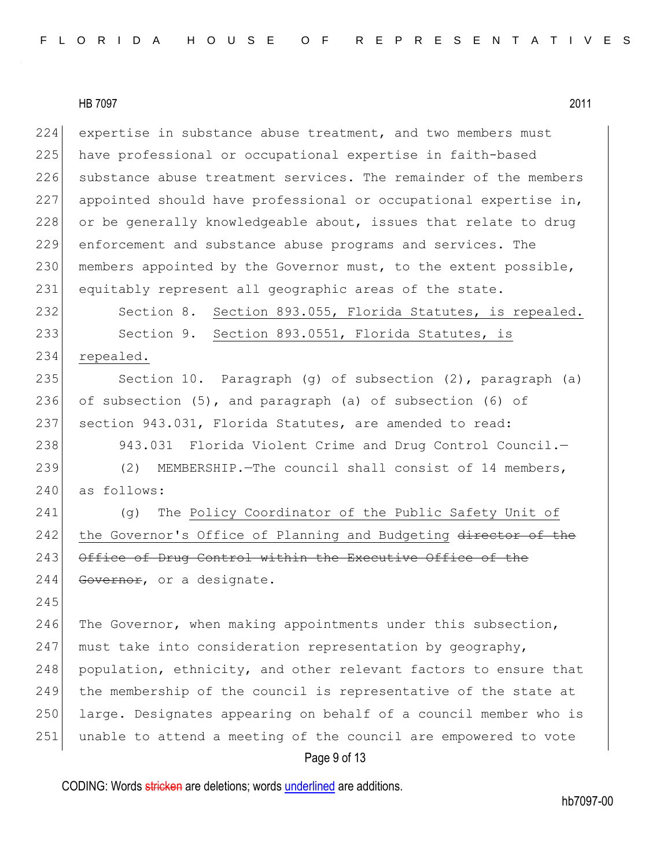224 expertise in substance abuse treatment, and two members must 225 have professional or occupational expertise in faith-based 226 substance abuse treatment services. The remainder of the members 227 appointed should have professional or occupational expertise in, 228 or be generally knowledgeable about, issues that relate to drug 229 enforcement and substance abuse programs and services. The 230 members appointed by the Governor must, to the extent possible, 231 equitably represent all geographic areas of the state. 232 Section 8. Section 893.055, Florida Statutes, is repealed.

233 Section 9. Section 893.0551, Florida Statutes, is 234 repealed.

235 Section 10. Paragraph (g) of subsection (2), paragraph (a) 236 of subsection (5), and paragraph (a) of subsection (6) of 237 section 943.031, Florida Statutes, are amended to read:

238 943.031 Florida Violent Crime and Drug Control Council. 239 (2) MEMBERSHIP. The council shall consist of 14 members, 240 as follows:

241 (g) The Policy Coordinator of the Public Safety Unit of 242 the Governor's Office of Planning and Budgeting director of the 243 Office of Drug Control within the Executive Office of the 244 Governor, or a designate.

245

246 The Governor, when making appointments under this subsection, 247 must take into consideration representation by  $q$ eography, 248 population, ethnicity, and other relevant factors to ensure that 249 the membership of the council is representative of the state at 250 large. Designates appearing on behalf of a council member who is 251 unable to attend a meeting of the council are empowered to vote

#### Page 9 of 13

CODING: Words stricken are deletions; words underlined are additions.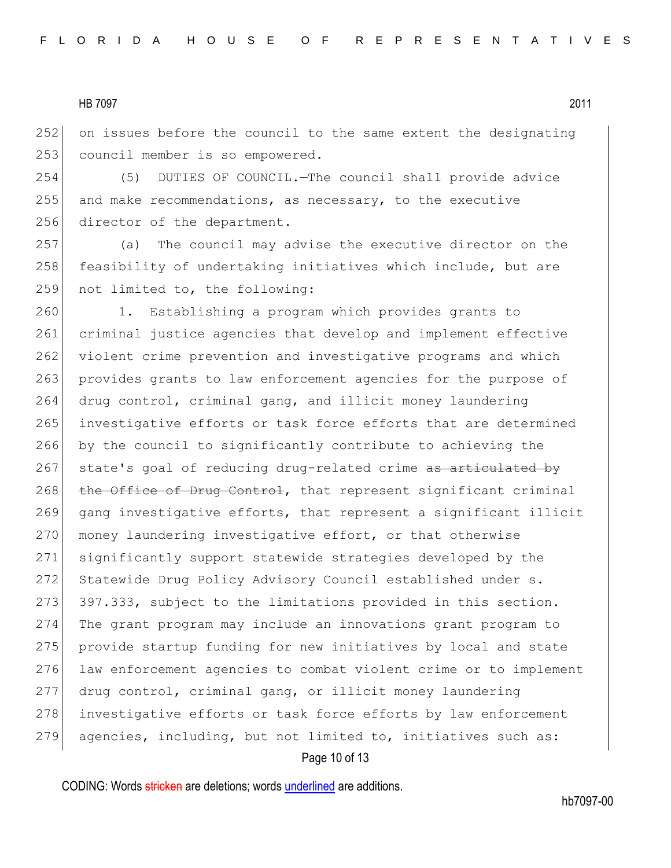252 on issues before the council to the same extent the designating 253 council member is so empowered.

254 (5) DUTIES OF COUNCIL.—The council shall provide advice 255 and make recommendations, as necessary, to the executive 256 director of the department.

257 (a) The council may advise the executive director on the 258 feasibility of undertaking initiatives which include, but are 259 not limited to, the following:

260 1. Establishing a program which provides grants to 261 criminal justice agencies that develop and implement effective 262 violent crime prevention and investigative programs and which 263 provides grants to law enforcement agencies for the purpose of 264 drug control, criminal gang, and illicit money laundering 265 investigative efforts or task force efforts that are determined 266 by the council to significantly contribute to achieving the 267 state's goal of reducing drug-related crime as articulated by 268 the Office of Drug Control, that represent significant criminal 269 gang investigative efforts, that represent a significant illicit 270 money laundering investigative effort, or that otherwise 271 significantly support statewide strategies developed by the 272 Statewide Drug Policy Advisory Council established under s. 273 397.333, subject to the limitations provided in this section. 274 The grant program may include an innovations grant program to 275 provide startup funding for new initiatives by local and state 276 law enforcement agencies to combat violent crime or to implement 277 drug control, criminal gang, or illicit money laundering 278 investigative efforts or task force efforts by law enforcement 279 agencies, including, but not limited to, initiatives such as:

## Page 10 of 13

CODING: Words stricken are deletions; words underlined are additions.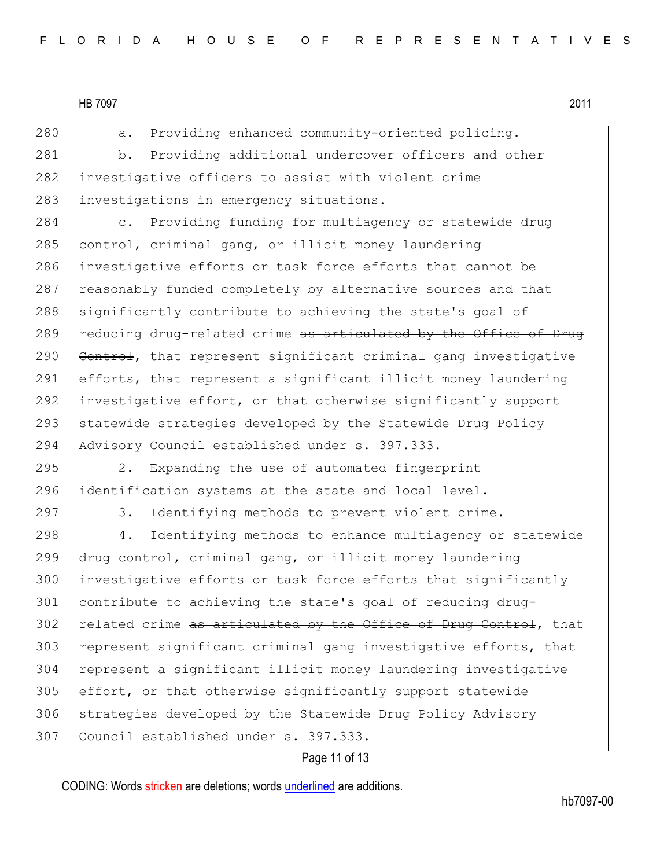280 a. Providing enhanced community-oriented policing.

281 b. Providing additional undercover officers and other 282 investigative officers to assist with violent crime 283 investigations in emergency situations.

284 c. Providing funding for multiagency or statewide drug 285 control, criminal gang, or illicit money laundering 286 investigative efforts or task force efforts that cannot be 287 reasonably funded completely by alternative sources and that 288 significantly contribute to achieving the state's goal of 289 reducing drug-related crime as articulated by the Office of Drug 290 Control, that represent significant criminal gang investigative 291 efforts, that represent a significant illicit money laundering 292 investigative effort, or that otherwise significantly support 293 statewide strategies developed by the Statewide Drug Policy 294 Advisory Council established under s. 397.333.

295 2. Expanding the use of automated fingerprint 296 identification systems at the state and local level.

297 3. Identifying methods to prevent violent crime.

298 4. Identifying methods to enhance multiagency or statewide drug control, criminal gang, or illicit money laundering investigative efforts or task force efforts that significantly contribute to achieving the state's goal of reducing drug-302 related crime as articulated by the Office of Drug Control, that 303 represent significant criminal gang investigative efforts, that represent a significant illicit money laundering investigative effort, or that otherwise significantly support statewide strategies developed by the Statewide Drug Policy Advisory Council established under s. 397.333.

## Page 11 of 13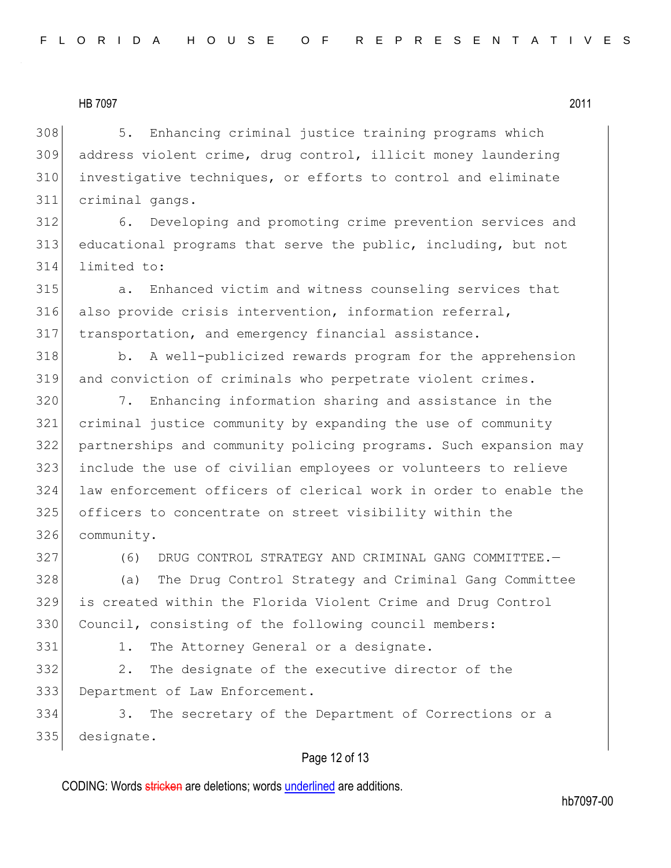308 5. Enhancing criminal justice training programs which address violent crime, drug control, illicit money laundering investigative techniques, or efforts to control and eliminate criminal gangs.

 6. Developing and promoting crime prevention services and educational programs that serve the public, including, but not limited to:

 a. Enhanced victim and witness counseling services that also provide crisis intervention, information referral, transportation, and emergency financial assistance.

318 b. A well-publicized rewards program for the apprehension and conviction of criminals who perpetrate violent crimes.

 7. Enhancing information sharing and assistance in the criminal justice community by expanding the use of community partnerships and community policing programs. Such expansion may include the use of civilian employees or volunteers to relieve law enforcement officers of clerical work in order to enable the officers to concentrate on street visibility within the community.

(6) DRUG CONTROL STRATEGY AND CRIMINAL GANG COMMITTEE.—

 (a) The Drug Control Strategy and Criminal Gang Committee is created within the Florida Violent Crime and Drug Control 330 Council, consisting of the following council members:

331 1. The Attorney General or a designate.

332 2. The designate of the executive director of the Department of Law Enforcement.

 3. The secretary of the Department of Corrections or a designate.

## Page 12 of 13